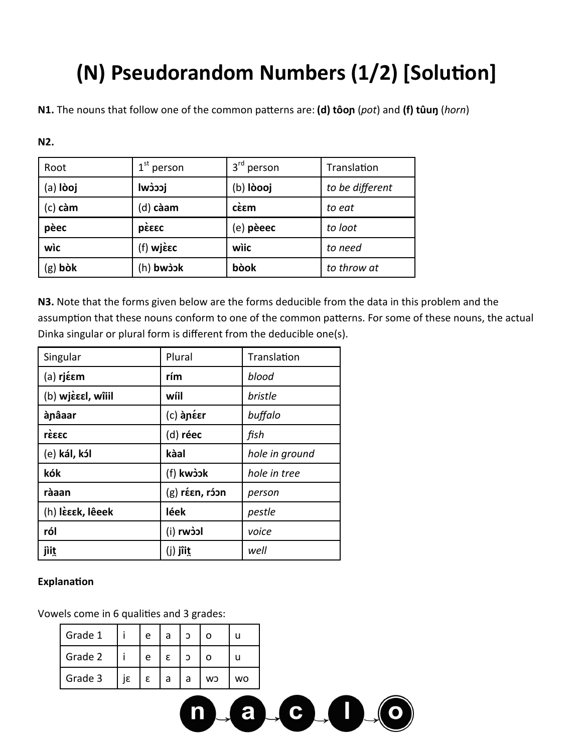## **(N) Pseudorandom Numbers (1/2) [Solution]**

**N1.** The nouns that follow one of the common patterns are: **(d) tôoɲ** (*pot*) and **(f) tûuŋ** (*horn*)

**N2.**

| Root            | $1st$ person | 3 <sup>rd</sup> person | Translation     |  |
|-----------------|--------------|------------------------|-----------------|--|
| (a) <b>lòoj</b> | jccćwl       | (b) lòooj              | to be different |  |
| $(c)$ càm       | (d) càam     | $\cdot$<br><b>CEEM</b> | to eat          |  |
| pèec            | pèsec        | (e) pèeec              | to loot         |  |
| wìc             | (f) wjecc    | wìic                   | to need         |  |
| (g) <b>bòk</b>  | (h) bwòok    | bòok                   | to throw at     |  |

**N3.** Note that the forms given below are the forms deducible from the data in this problem and the assumption that these nouns conform to one of the common patterns. For some of these nouns, the actual Dinka singular or plural form is different from the deducible one(s).

| Singular                  | Plural             | Translation    |  |  |
|---------------------------|--------------------|----------------|--|--|
| (a) rjέεm                 | rím                | blood          |  |  |
| (b) wjesel, wiiil<br>wíil |                    | bristle        |  |  |
| ànâaar                    | (c) ànέεr          | buffalo        |  |  |
| <b>TEEEC</b>              | (d) réec           | fish           |  |  |
| (e) kál, kól              | kàal               | hole in ground |  |  |
| kók                       | (f) kwòok          | hole in tree   |  |  |
| ràaan                     | $(g)$ réen, róon   | person         |  |  |
| (h) lεεεκ, lêeek          | léek               | pestle         |  |  |
| ról                       | lcćwn (i)<br>voice |                |  |  |
| jìit                      | $(j)$ jîit         | well           |  |  |

## **Explanation**

Vowels come in 6 qualities and 3 grades:

| Grade 1 |    | e | а  | C |    |    |
|---------|----|---|----|---|----|----|
| Grade 2 |    | e | £. | Э |    |    |
| Grade 3 | iε | 3 | a  | a | CW | wo |